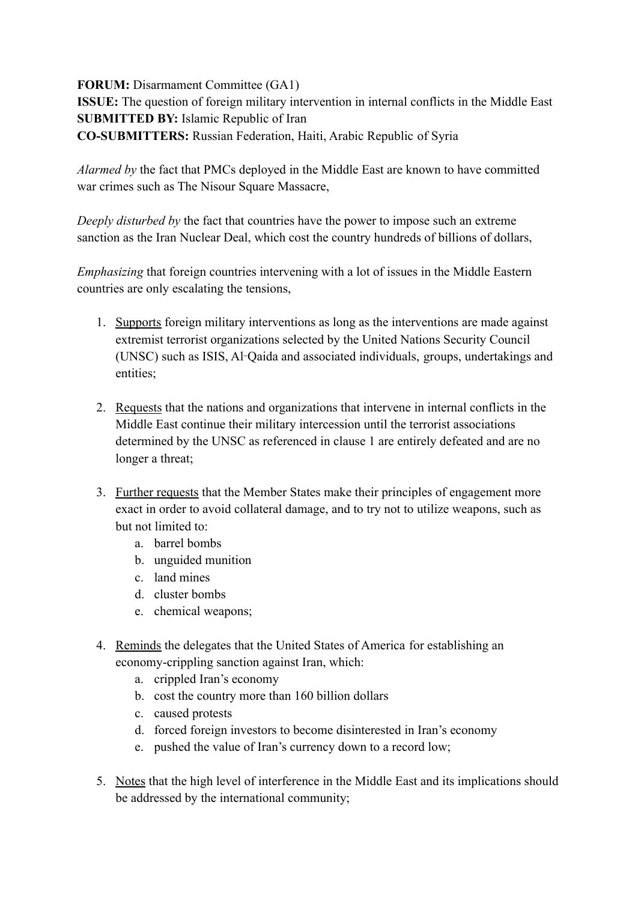**FORUM:** Disarmament Committee (GA1)

**ISSUE:** The question of foreign military intervention in internal conflicts in the Middle East **SUBMITTED BY:** Islamic Republic of Iran **CO-SUBMITTERS:** Russian Federation, Haiti, Arabic Republic of Syria

*Alarmed by* the fact that PMCs deployed in the Middle East are known to have committed war crimes such as The Nisour Square Massacre,

*Deeply disturbed by* the fact that countries have the power to impose such an extreme sanction as the Iran Nuclear Deal, which cost the country hundreds of billions of dollars,

*Emphasizing* that foreign countries intervening with a lot of issues in the Middle Eastern countries are only escalating the tensions,

- 1. Supports foreign military interventions as long as the interventions are made against extremist terrorist organizations selected by the United Nations Security Council (UNSC) such as ISIS, Al‑Qaida and associated individuals, groups, undertakings and entities;
- 2. Requests that the nations and organizations that intervene in internal conflicts in the Middle East continue their military intercession until the terrorist associations determined by the UNSC as referenced in clause 1 are entirely defeated and are no longer a threat;
- 3. Further requests that the Member States make their principles of engagement more exact in order to avoid collateral damage, and to try not to utilize weapons, such as but not limited to:
	- a. barrel bombs
	- b. unguided munition
	- c. land mines
	- d. cluster bombs
	- e. chemical weapons;
- 4. Reminds the delegates that the United States of America for establishing an economy-crippling sanction against Iran, which:
	- a. crippled Iran's economy
	- b. cost the country more than 160 billion dollars
	- c. caused protests
	- d. forced foreign investors to become disinterested in Iran's economy
	- e. pushed the value of Iran's currency down to a record low;
- 5. Notes that the high level of interference in the Middle East and its implications should be addressed by the international community;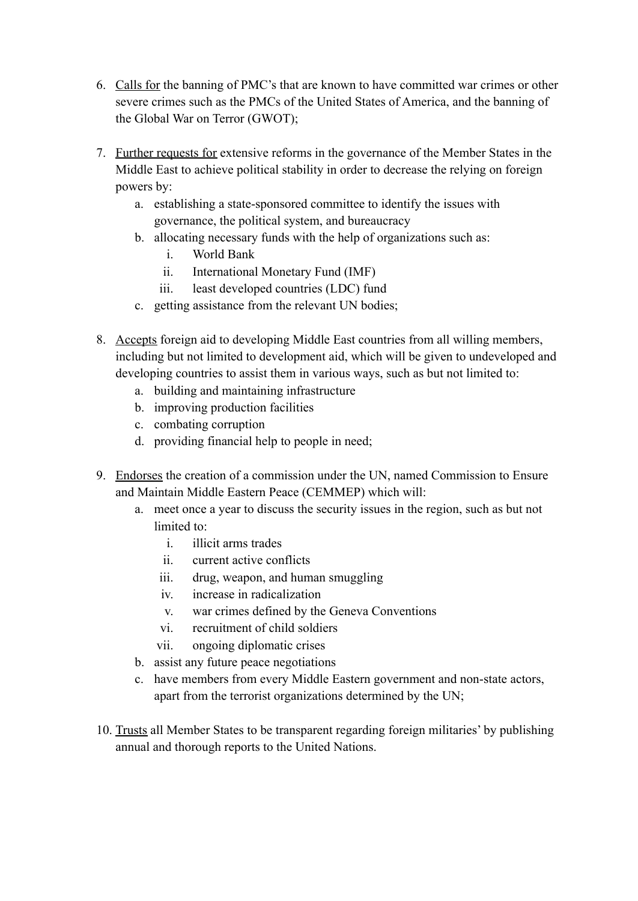- 6. Calls for the banning of PMC's that are known to have committed war crimes or other severe crimes such as the PMCs of the United States of America, and the banning of the Global War on Terror (GWOT);
- 7. Further requests for extensive reforms in the governance of the Member States in the Middle East to achieve political stability in order to decrease the relying on foreign powers by:
	- a. establishing a state-sponsored committee to identify the issues with governance, the political system, and bureaucracy
	- b. allocating necessary funds with the help of organizations such as:
		- i. World Bank
		- ii. International Monetary Fund (IMF)
		- iii. least developed countries (LDC) fund
	- c. getting assistance from the relevant UN bodies;
- 8. Accepts foreign aid to developing Middle East countries from all willing members, including but not limited to development aid, which will be given to undeveloped and developing countries to assist them in various ways, such as but not limited to:
	- a. building and maintaining infrastructure
	- b. improving production facilities
	- c. combating corruption
	- d. providing financial help to people in need;
- 9. Endorses the creation of a commission under the UN, named Commission to Ensure and Maintain Middle Eastern Peace (CEMMEP) which will:
	- a. meet once a year to discuss the security issues in the region, such as but not limited to:
		- i. illicit arms trades
		- ii. current active conflicts
		- iii. drug, weapon, and human smuggling
		- iv. increase in radicalization
		- v. war crimes defined by the Geneva Conventions
		- vi. recruitment of child soldiers
		- vii. ongoing diplomatic crises
	- b. assist any future peace negotiations
	- c. have members from every Middle Eastern government and non-state actors, apart from the terrorist organizations determined by the UN;
- 10. Trusts all Member States to be transparent regarding foreign militaries' by publishing annual and thorough reports to the United Nations.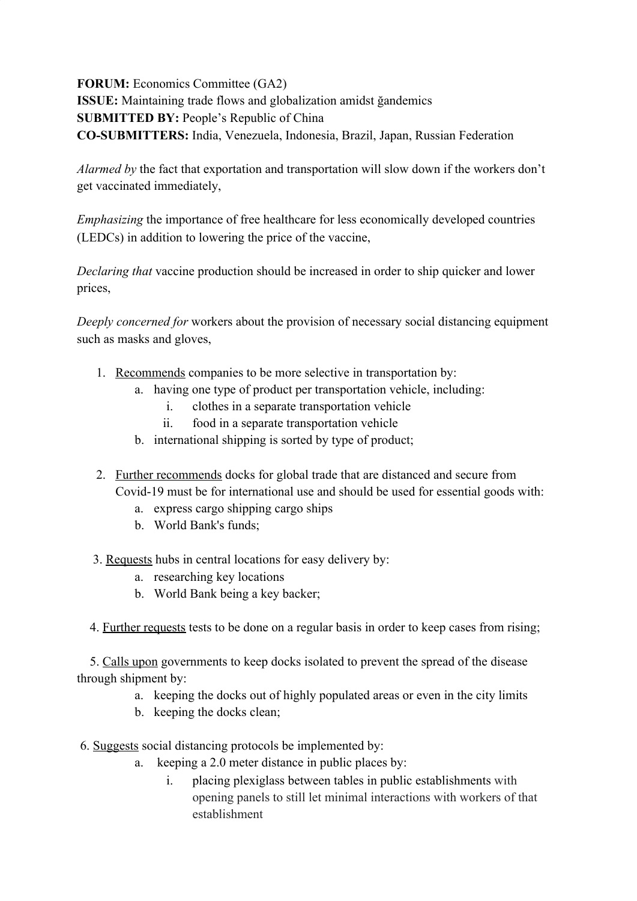**FORUM:** Economics Committee (GA2) **ISSUE:** Maintaining trade flows and globalization amidst ğandemics **SUBMITTED BY:** People's Republic of China **CO-SUBMITTERS:** India, Venezuela, Indonesia, Brazil, Japan, Russian Federation

*Alarmed by* the fact that exportation and transportation will slow down if the workers don't get vaccinated immediately,

*Emphasizing* the importance of free healthcare for less economically developed countries (LEDCs) in addition to lowering the price of the vaccine,

*Declaring that* vaccine production should be increased in order to ship quicker and lower prices,

*Deeply concerned for* workers about the provision of necessary social distancing equipment such as masks and gloves,

- 1. Recommends companies to be more selective in transportation by:
	- a. having one type of product per transportation vehicle, including:
		- i. clothes in a separate transportation vehicle
		- ii. food in a separate transportation vehicle
		- b. international shipping is sorted by type of product;
- 2. Further recommends docks for global trade that are distanced and secure from Covid-19 must be for international use and should be used for essential goods with:
	- a. express cargo shipping cargo ships
	- b. World Bank's funds;

3. Requests hubs in central locations for easy delivery by:

- a. researching key locations
- b. World Bank being a key backer;

4. Further requests tests to be done on a regular basis in order to keep cases from rising;

 5. Calls upon governments to keep docks isolated to prevent the spread of the disease through shipment by:

- a. keeping the docks out of highly populated areas or even in the city limits
- b. keeping the docks clean;

6. Suggests social distancing protocols be implemented by:

- a. keeping a 2.0 meter distance in public places by:
	- i. placing plexiglass between tables in public establishments with opening panels to still let minimal interactions with workers of that establishment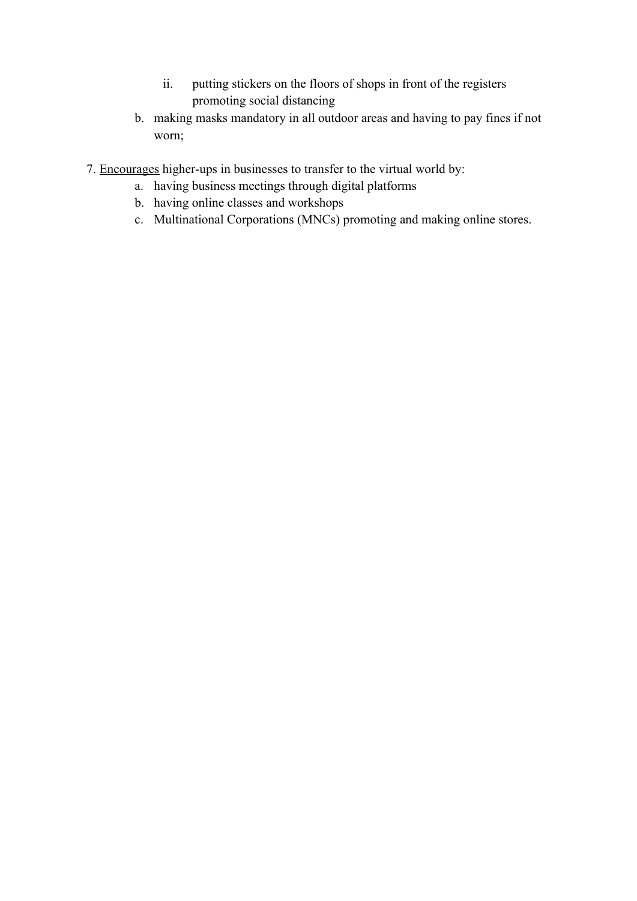- ii. putting stickers on the floors of shops in front of the registers promoting social distancing
- b. making masks mandatory in all outdoor areas and having to pay fines if not worn;
- 7. Encourages higher-ups in businesses to transfer to the virtual world by:
	- a. having business meetings through digital platforms
	- b. having online classes and workshops
	- c. Multinational Corporations (MNCs) promoting and making online stores.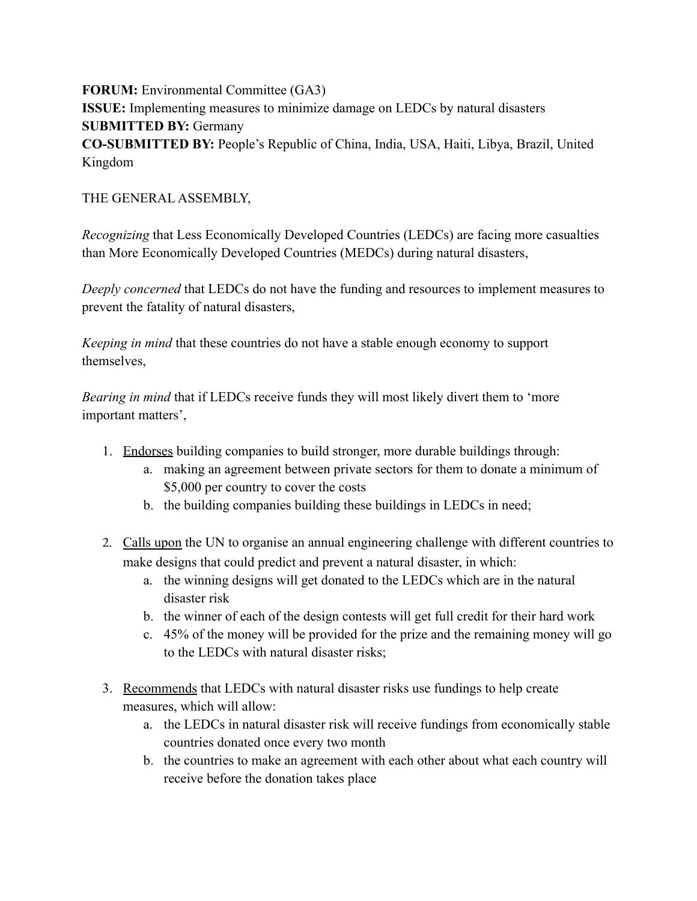**FORUM:** Environmental Committee (GA3) **ISSUE:** Implementing measures to minimize damage on LEDCs by natural disasters **SUBMITTED BY:** Germany **CO-SUBMITTED BY:** People's Republic of China, India, USA, Haiti, Libya, Brazil, United Kingdom

## THE GENERAL ASSEMBLY,

*Recognizing* that Less Economically Developed Countries (LEDCs) are facing more casualties than More Economically Developed Countries (MEDCs) during natural disasters,

*Deeply concerned* that LEDCs do not have the funding and resources to implement measures to prevent the fatality of natural disasters,

*Keeping in mind* that these countries do not have a stable enough economy to support themselves,

*Bearing in mind* that if LEDCs receive funds they will most likely divert them to 'more important matters',

- 1. Endorses building companies to build stronger, more durable buildings through:
	- a. making an agreement between private sectors for them to donate a minimum of \$5,000 per country to cover the costs
	- b. the building companies building these buildings in LEDCs in need;
- 2. Calls upon the UN to organise an annual engineering challenge with different countries to make designs that could predict and prevent a natural disaster, in which:
	- a. the winning designs will get donated to the LEDCs which are in the natural disaster risk
	- b. the winner of each of the design contests will get full credit for their hard work
	- c. 45% of the money will be provided for the prize and the remaining money will go to the LEDCs with natural disaster risks;
- 3. Recommends that LEDCs with natural disaster risks use fundings to help create measures, which will allow:
	- a. the LEDCs in natural disaster risk will receive fundings from economically stable countries donated once every two month
	- b. the countries to make an agreement with each other about what each country will receive before the donation takes place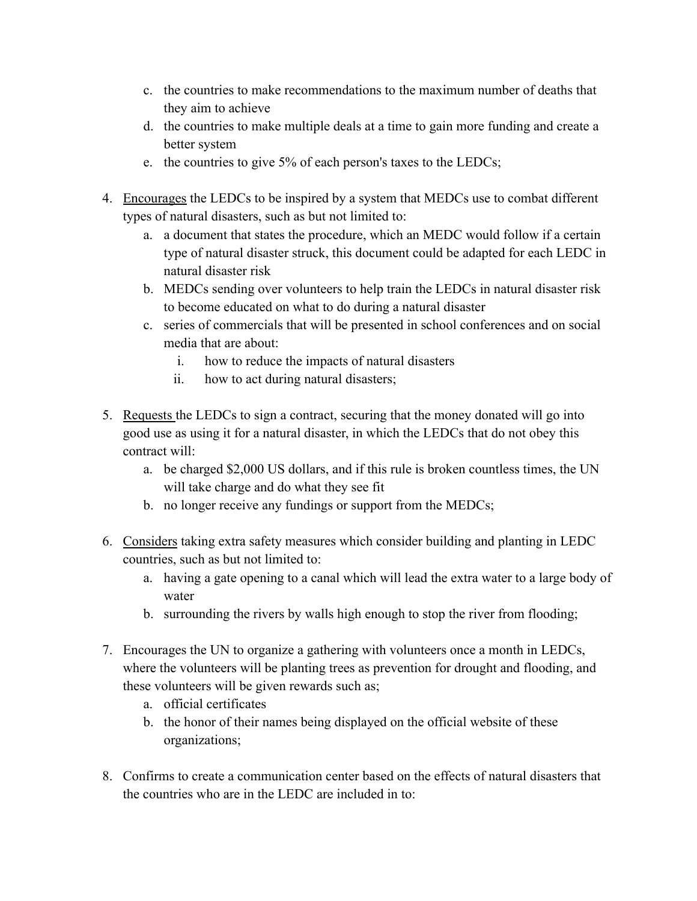- c. the countries to make recommendations to the maximum number of deaths that they aim to achieve
- d. the countries to make multiple deals at a time to gain more funding and create a better system
- e. the countries to give 5% of each person's taxes to the LEDCs;
- 4. Encourages the LEDCs to be inspired by a system that MEDCs use to combat different types of natural disasters, such as but not limited to:
	- a. a document that states the procedure, which an MEDC would follow if a certain type of natural disaster struck, this document could be adapted for each LEDC in natural disaster risk
	- b. MEDCs sending over volunteers to help train the LEDCs in natural disaster risk to become educated on what to do during a natural disaster
	- c. series of commercials that will be presented in school conferences and on social media that are about:
		- i. how to reduce the impacts of natural disasters
		- ii. how to act during natural disasters;
- 5. Requests the LEDCs to sign a contract, securing that the money donated will go into good use as using it for a natural disaster, in which the LEDCs that do not obey this contract will:
	- a. be charged \$2,000 US dollars, and if this rule is broken countless times, the UN will take charge and do what they see fit
	- b. no longer receive any fundings or support from the MEDCs;
- 6. Considers taking extra safety measures which consider building and planting in LEDC countries, such as but not limited to:
	- a. having a gate opening to a canal which will lead the extra water to a large body of water
	- b. surrounding the rivers by walls high enough to stop the river from flooding;
- 7. Encourages the UN to organize a gathering with volunteers once a month in LEDCs, where the volunteers will be planting trees as prevention for drought and flooding, and these volunteers will be given rewards such as;
	- a. official certificates
	- b. the honor of their names being displayed on the official website of these organizations;
- 8. Confirms to create a communication center based on the effects of natural disasters that the countries who are in the LEDC are included in to: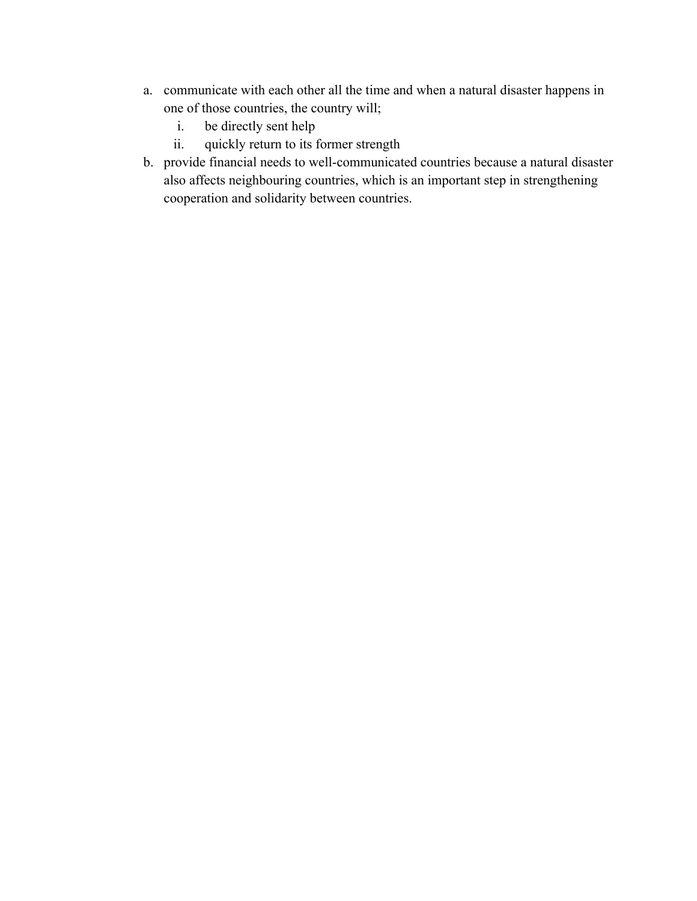- a. communicate with each other all the time and when a natural disaster happens in one of those countries, the country will;
	- i. be directly sent help
	- ii. quickly return to its former strength
- b. provide financial needs to well-communicated countries because a natural disaster also affects neighbouring countries, which is an important step in strengthening cooperation and solidarity between countries.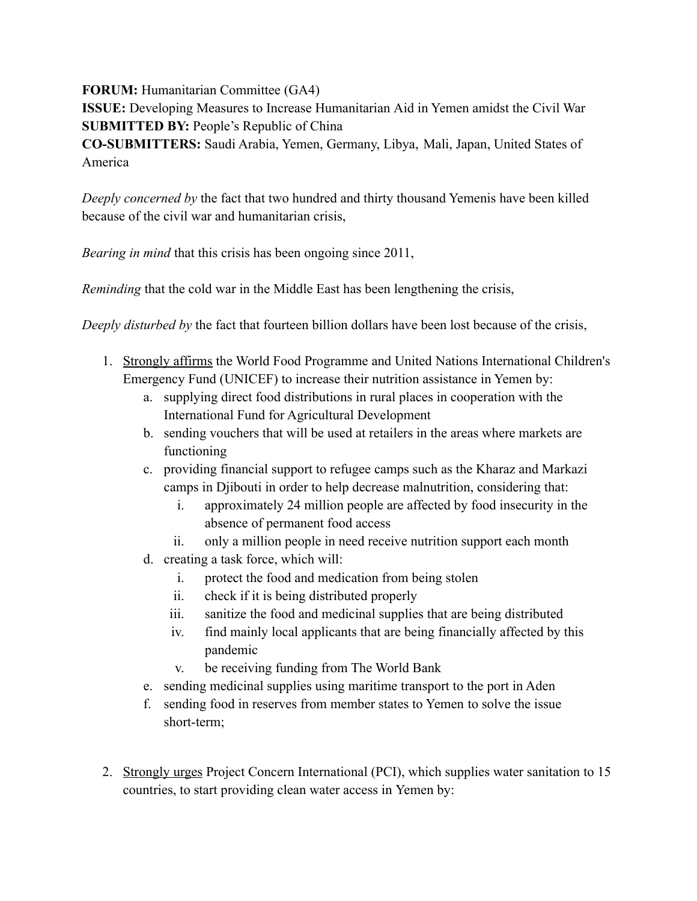**FORUM:** Humanitarian Committee (GA4)

**ISSUE:** Developing Measures to Increase Humanitarian Aid in Yemen amidst the Civil War **SUBMITTED BY:** People's Republic of China **CO-SUBMITTERS:** Saudi Arabia, Yemen, Germany, Libya, Mali, Japan, United States of

America

*Deeply concerned by* the fact that two hundred and thirty thousand Yemenis have been killed because of the civil war and humanitarian crisis,

*Bearing in mind* that this crisis has been ongoing since 2011,

*Reminding* that the cold war in the Middle East has been lengthening the crisis,

*Deeply disturbed by* the fact that fourteen billion dollars have been lost because of the crisis,

- 1. Strongly affirms the World Food Programme and United Nations International Children's Emergency Fund (UNICEF) to increase their nutrition assistance in Yemen by:
	- a. supplying direct food distributions in rural places in cooperation with the International Fund for Agricultural Development
	- b. sending vouchers that will be used at retailers in the areas where markets are functioning
	- c. providing financial support to refugee camps such as the Kharaz and Markazi camps in Djibouti in order to help decrease malnutrition, considering that:
		- i. approximately 24 million people are affected by food insecurity in the absence of permanent food access
		- ii. only a million people in need receive nutrition support each month
	- d. creating a task force, which will:
		- i. protect the food and medication from being stolen
		- ii. check if it is being distributed properly
		- iii. sanitize the food and medicinal supplies that are being distributed
		- iv. find mainly local applicants that are being financially affected by this pandemic
		- v. be receiving funding from The World Bank
	- e. sending medicinal supplies using maritime transport to the port in Aden
	- f. sending food in reserves from member states to Yemen to solve the issue short-term;
- 2. Strongly urges Project Concern International (PCI), which supplies water sanitation to 15 countries, to start providing clean water access in Yemen by: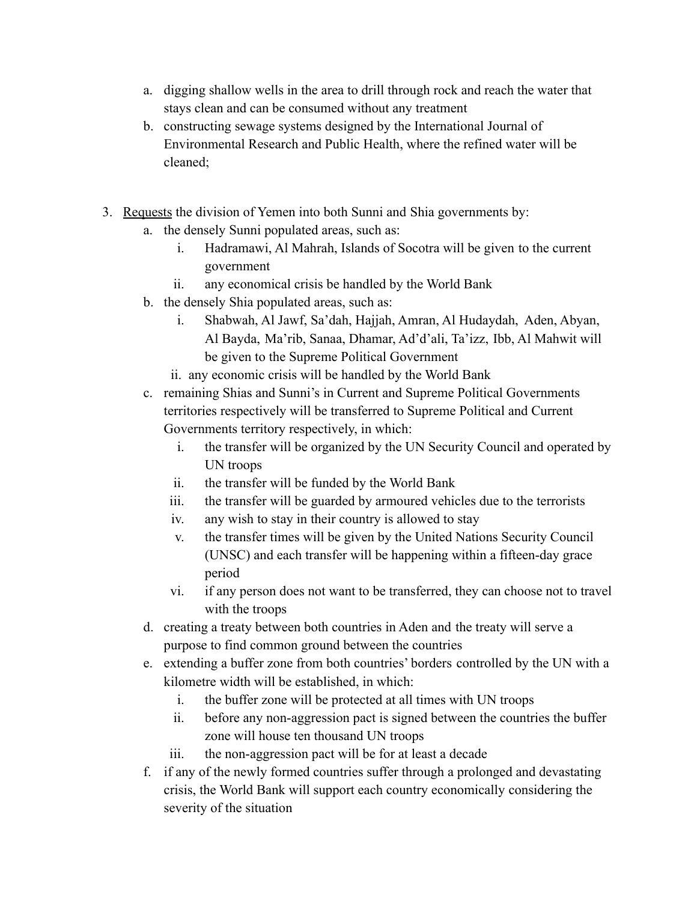- a. digging shallow wells in the area to drill through rock and reach the water that stays clean and can be consumed without any treatment
- b. constructing sewage systems designed by the International Journal of Environmental Research and Public Health, where the refined water will be cleaned;
- 3. Requests the division of Yemen into both Sunni and Shia governments by:
	- a. the densely Sunni populated areas, such as:
		- i. Hadramawi, Al Mahrah, Islands of Socotra will be given to the current government
		- ii. any economical crisis be handled by the World Bank
	- b. the densely Shia populated areas, such as:
		- i. Shabwah, Al Jawf, Sa'dah, Hajjah, Amran, Al Hudaydah, Aden, Abyan, Al Bayda, Ma'rib, Sanaa, Dhamar, Ad'd'ali, Ta'izz, Ibb, Al Mahwit will be given to the Supreme Political Government
		- ii. any economic crisis will be handled by the World Bank
	- c. remaining Shias and Sunni's in Current and Supreme Political Governments territories respectively will be transferred to Supreme Political and Current Governments territory respectively, in which:
		- i. the transfer will be organized by the UN Security Council and operated by UN troops
		- ii. the transfer will be funded by the World Bank
		- iii. the transfer will be guarded by armoured vehicles due to the terrorists
		- iv. any wish to stay in their country is allowed to stay
		- v. the transfer times will be given by the United Nations Security Council (UNSC) and each transfer will be happening within a fifteen-day grace period
		- vi. if any person does not want to be transferred, they can choose not to travel with the troops
	- d. creating a treaty between both countries in Aden and the treaty will serve a purpose to find common ground between the countries
	- e. extending a buffer zone from both countries' borders controlled by the UN with a kilometre width will be established, in which:
		- i. the buffer zone will be protected at all times with UN troops
		- ii. before any non-aggression pact is signed between the countries the buffer zone will house ten thousand UN troops
		- iii. the non-aggression pact will be for at least a decade
	- f. if any of the newly formed countries suffer through a prolonged and devastating crisis, the World Bank will support each country economically considering the severity of the situation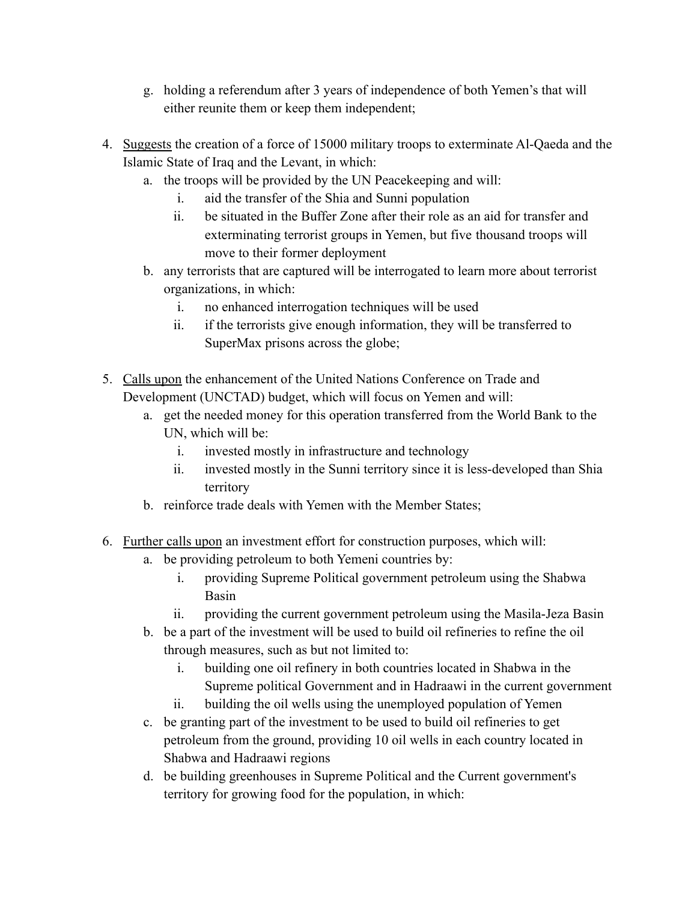- g. holding a referendum after 3 years of independence of both Yemen's that will either reunite them or keep them independent;
- 4. Suggests the creation of a force of 15000 military troops to exterminate Al-Qaeda and the Islamic State of Iraq and the Levant, in which:
	- a. the troops will be provided by the UN Peacekeeping and will:
		- i. aid the transfer of the Shia and Sunni population
		- ii. be situated in the Buffer Zone after their role as an aid for transfer and exterminating terrorist groups in Yemen, but five thousand troops will move to their former deployment
	- b. any terrorists that are captured will be interrogated to learn more about terrorist organizations, in which:
		- i. no enhanced interrogation techniques will be used
		- ii. if the terrorists give enough information, they will be transferred to SuperMax prisons across the globe;
- 5. Calls upon the enhancement of the United Nations Conference on Trade and Development (UNCTAD) budget, which will focus on Yemen and will:
	- a. get the needed money for this operation transferred from the World Bank to the UN, which will be:
		- i. invested mostly in infrastructure and technology
		- ii. invested mostly in the Sunni territory since it is less-developed than Shia territory
	- b. reinforce trade deals with Yemen with the Member States;
- 6. Further calls upon an investment effort for construction purposes, which will:
	- a. be providing petroleum to both Yemeni countries by:
		- i. providing Supreme Political government petroleum using the Shabwa Basin
		- ii. providing the current government petroleum using the Masila-Jeza Basin
	- b. be a part of the investment will be used to build oil refineries to refine the oil through measures, such as but not limited to:
		- i. building one oil refinery in both countries located in Shabwa in the Supreme political Government and in Hadraawi in the current government
		- ii. building the oil wells using the unemployed population of Yemen
	- c. be granting part of the investment to be used to build oil refineries to get petroleum from the ground, providing 10 oil wells in each country located in Shabwa and Hadraawi regions
	- d. be building greenhouses in Supreme Political and the Current government's territory for growing food for the population, in which: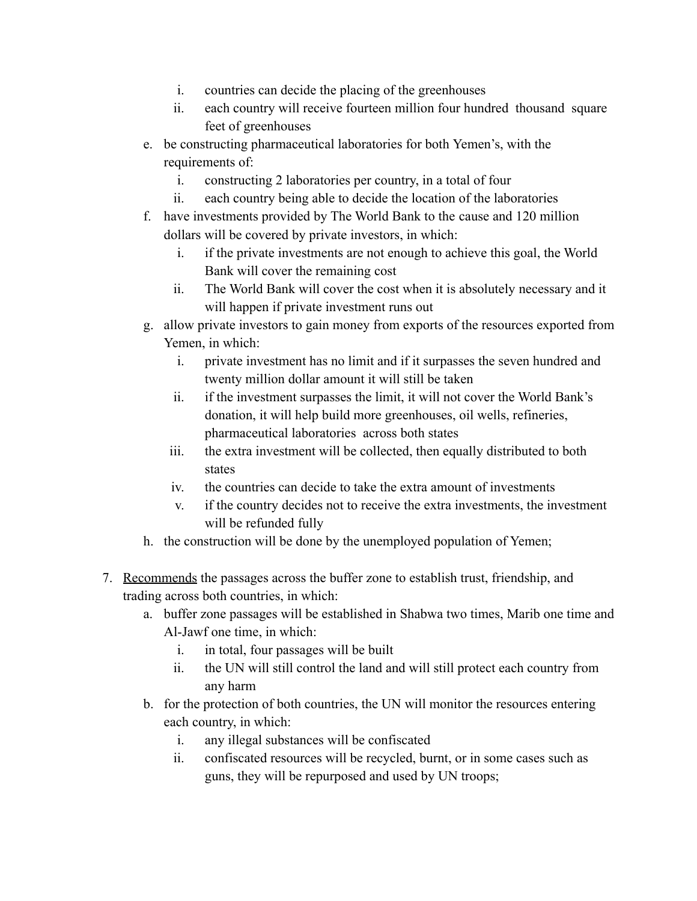- i. countries can decide the placing of the greenhouses
- ii. each country will receive fourteen million four hundred thousand square feet of greenhouses
- e. be constructing pharmaceutical laboratories for both Yemen's, with the requirements of:
	- i. constructing 2 laboratories per country, in a total of four
	- ii. each country being able to decide the location of the laboratories
- f. have investments provided by The World Bank to the cause and 120 million dollars will be covered by private investors, in which:
	- i. if the private investments are not enough to achieve this goal, the World Bank will cover the remaining cost
	- ii. The World Bank will cover the cost when it is absolutely necessary and it will happen if private investment runs out
- g. allow private investors to gain money from exports of the resources exported from Yemen, in which:
	- i. private investment has no limit and if it surpasses the seven hundred and twenty million dollar amount it will still be taken
	- ii. if the investment surpasses the limit, it will not cover the World Bank's donation, it will help build more greenhouses, oil wells, refineries, pharmaceutical laboratories across both states
	- iii. the extra investment will be collected, then equally distributed to both states
	- iv. the countries can decide to take the extra amount of investments
	- v. if the country decides not to receive the extra investments, the investment will be refunded fully
- h. the construction will be done by the unemployed population of Yemen;
- 7. Recommends the passages across the buffer zone to establish trust, friendship, and trading across both countries, in which:
	- a. buffer zone passages will be established in Shabwa two times, Marib one time and Al-Jawf one time, in which:
		- i. in total, four passages will be built
		- ii. the UN will still control the land and will still protect each country from any harm
	- b. for the protection of both countries, the UN will monitor the resources entering each country, in which:
		- i. any illegal substances will be confiscated
		- ii. confiscated resources will be recycled, burnt, or in some cases such as guns, they will be repurposed and used by UN troops;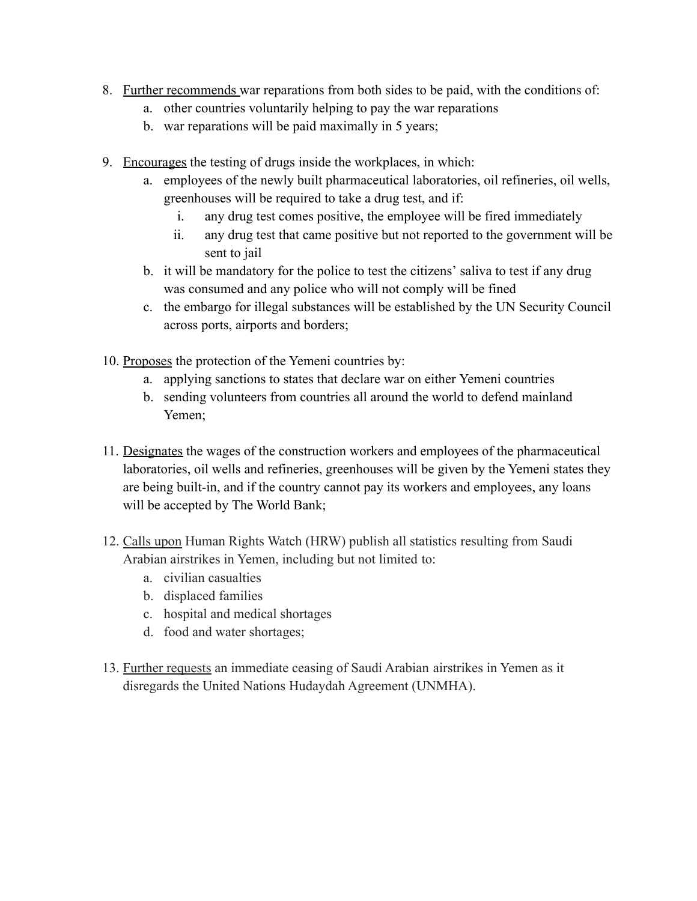- 8. Further recommends war reparations from both sides to be paid, with the conditions of:
	- a. other countries voluntarily helping to pay the war reparations
	- b. war reparations will be paid maximally in 5 years;
- 9. Encourages the testing of drugs inside the workplaces, in which:
	- a. employees of the newly built pharmaceutical laboratories, oil refineries, oil wells, greenhouses will be required to take a drug test, and if:
		- i. any drug test comes positive, the employee will be fired immediately
		- ii. any drug test that came positive but not reported to the government will be sent to jail
	- b. it will be mandatory for the police to test the citizens' saliva to test if any drug was consumed and any police who will not comply will be fined
	- c. the embargo for illegal substances will be established by the UN Security Council across ports, airports and borders;
- 10. Proposes the protection of the Yemeni countries by:
	- a. applying sanctions to states that declare war on either Yemeni countries
	- b. sending volunteers from countries all around the world to defend mainland Yemen;
- 11. Designates the wages of the construction workers and employees of the pharmaceutical laboratories, oil wells and refineries, greenhouses will be given by the Yemeni states they are being built-in, and if the country cannot pay its workers and employees, any loans will be accepted by The World Bank;
- 12. Calls upon Human Rights Watch (HRW) publish all statistics resulting from Saudi Arabian airstrikes in Yemen, including but not limited to:
	- a. civilian casualties
	- b. displaced families
	- c. hospital and medical shortages
	- d. food and water shortages;
- 13. Further requests an immediate ceasing of Saudi Arabian airstrikes in Yemen as it disregards the United Nations Hudaydah Agreement (UNMHA).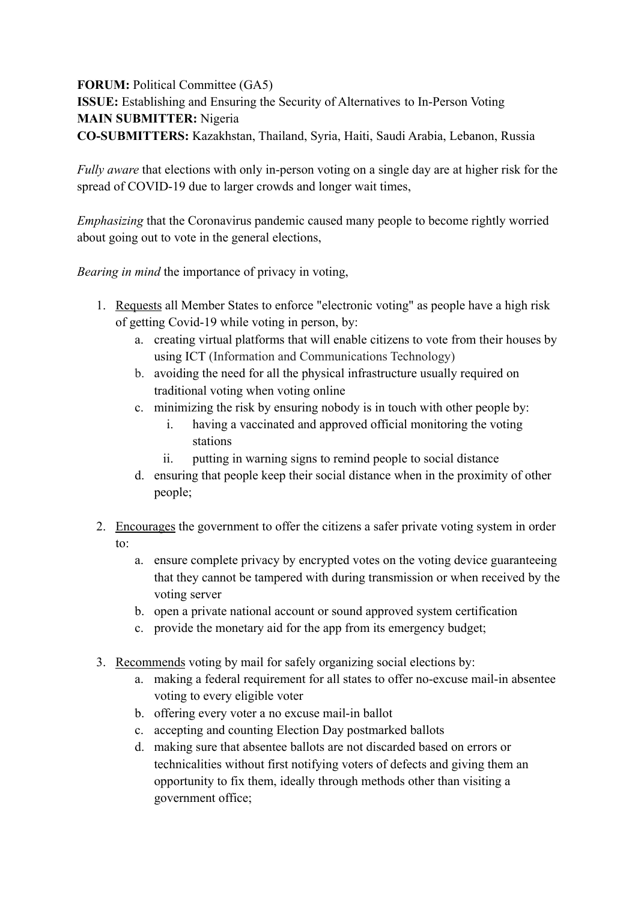**FORUM:** Political Committee (GA5) **ISSUE:** Establishing and Ensuring the Security of Alternatives to In-Person Voting **MAIN SUBMITTER:** Nigeria **CO-SUBMITTERS:** Kazakhstan, Thailand, Syria, Haiti, Saudi Arabia, Lebanon, Russia

*Fully aware* that elections with only in-person voting on a single day are at higher risk for the spread of COVID-19 due to larger crowds and longer wait times,

*Emphasizing* that the Coronavirus pandemic caused many people to become rightly worried about going out to vote in the general elections,

*Bearing in mind* the importance of privacy in voting,

- 1. Requests all Member States to enforce "electronic voting" as people have a high risk of getting Covid-19 while voting in person, by:
	- a. creating virtual platforms that will enable citizens to vote from their houses by using ICT (Information and Communications Technology)
	- b. avoiding the need for all the physical infrastructure usually required on traditional voting when voting online
	- c. minimizing the risk by ensuring nobody is in touch with other people by:
		- i. having a vaccinated and approved official monitoring the voting stations
		- ii. putting in warning signs to remind people to social distance
	- d. ensuring that people keep their social distance when in the proximity of other people;
- 2. Encourages the government to offer the citizens a safer private voting system in order to:
	- a. ensure complete privacy by encrypted votes on the voting device guaranteeing that they cannot be tampered with during transmission or when received by the voting server
	- b. open a private national account or sound approved system certification
	- c. provide the monetary aid for the app from its emergency budget;
- 3. Recommends voting by mail for safely organizing social elections by:
	- a. making a federal requirement for all states to offer no-excuse mail-in absentee voting to every eligible voter
	- b. offering every voter a no excuse mail-in ballot
	- c. accepting and counting Election Day postmarked ballots
	- d. making sure that absentee ballots are not discarded based on errors or technicalities without first notifying voters of defects and giving them an opportunity to fix them, ideally through methods other than visiting a government office;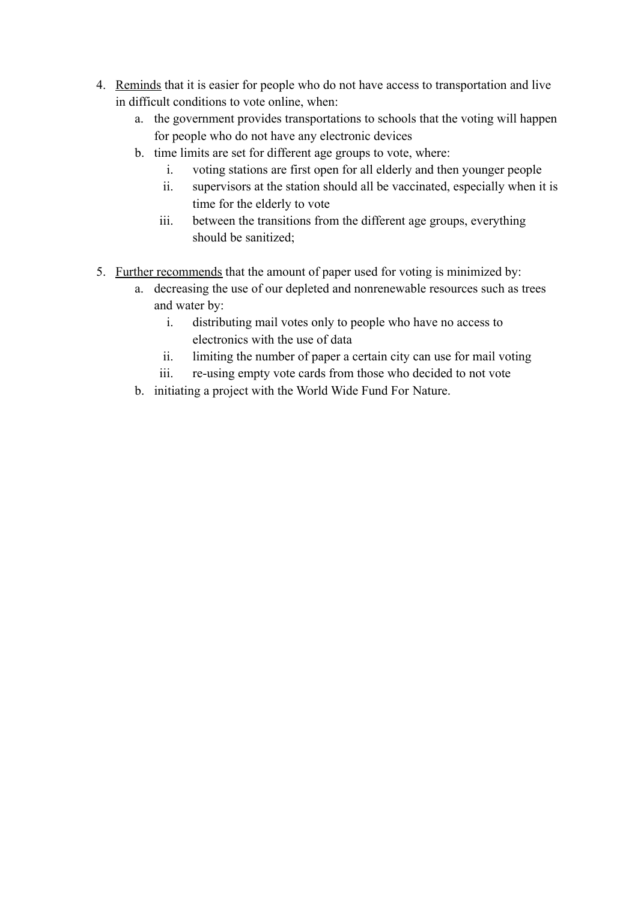- 4. Reminds that it is easier for people who do not have access to transportation and live in difficult conditions to vote online, when:
	- a. the government provides transportations to schools that the voting will happen for people who do not have any electronic devices
	- b. time limits are set for different age groups to vote, where:
		- i. voting stations are first open for all elderly and then younger people
		- ii. supervisors at the station should all be vaccinated, especially when it is time for the elderly to vote
		- iii. between the transitions from the different age groups, everything should be sanitized;
- 5. Further recommends that the amount of paper used for voting is minimized by:
	- a. decreasing the use of our depleted and nonrenewable resources such as trees and water by:
		- i. distributing mail votes only to people who have no access to electronics with the use of data
		- ii. limiting the number of paper a certain city can use for mail voting
		- iii. re-using empty vote cards from those who decided to not vote
	- b. initiating a project with the World Wide Fund For Nature.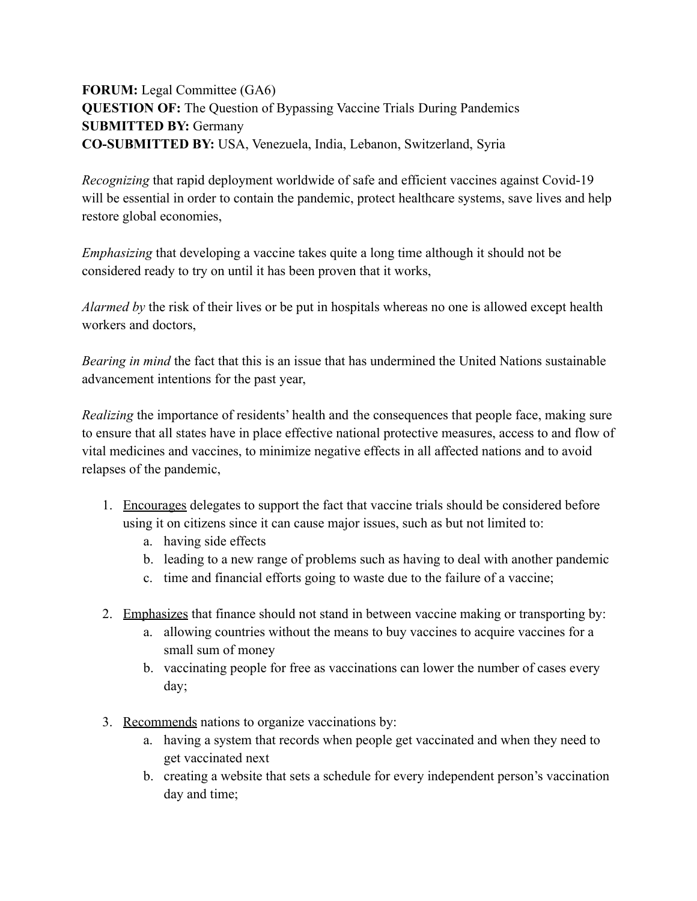## **FORUM:** Legal Committee (GA6) **QUESTION OF:** The Question of Bypassing Vaccine Trials During Pandemics **SUBMITTED BY:** Germany **CO-SUBMITTED BY:** USA, Venezuela, India, Lebanon, Switzerland, Syria

*Recognizing* that rapid deployment worldwide of safe and efficient vaccines against Covid-19 will be essential in order to contain the pandemic, protect healthcare systems, save lives and help restore global economies,

*Emphasizing* that developing a vaccine takes quite a long time although it should not be considered ready to try on until it has been proven that it works,

*Alarmed by* the risk of their lives or be put in hospitals whereas no one is allowed except health workers and doctors,

*Bearing in mind* the fact that this is an issue that has undermined the United Nations sustainable advancement intentions for the past year,

*Realizing* the importance of residents' health and the consequences that people face, making sure to ensure that all states have in place effective national protective measures, access to and flow of vital medicines and vaccines, to minimize negative effects in all affected nations and to avoid relapses of the pandemic,

- 1. Encourages delegates to support the fact that vaccine trials should be considered before using it on citizens since it can cause major issues, such as but not limited to:
	- a. having side effects
	- b. leading to a new range of problems such as having to deal with another pandemic
	- c. time and financial efforts going to waste due to the failure of a vaccine;
- 2. Emphasizes that finance should not stand in between vaccine making or transporting by:
	- a. allowing countries without the means to buy vaccines to acquire vaccines for a small sum of money
	- b. vaccinating people for free as vaccinations can lower the number of cases every day;
- 3. Recommends nations to organize vaccinations by:
	- a. having a system that records when people get vaccinated and when they need to get vaccinated next
	- b. creating a website that sets a schedule for every independent person's vaccination day and time;